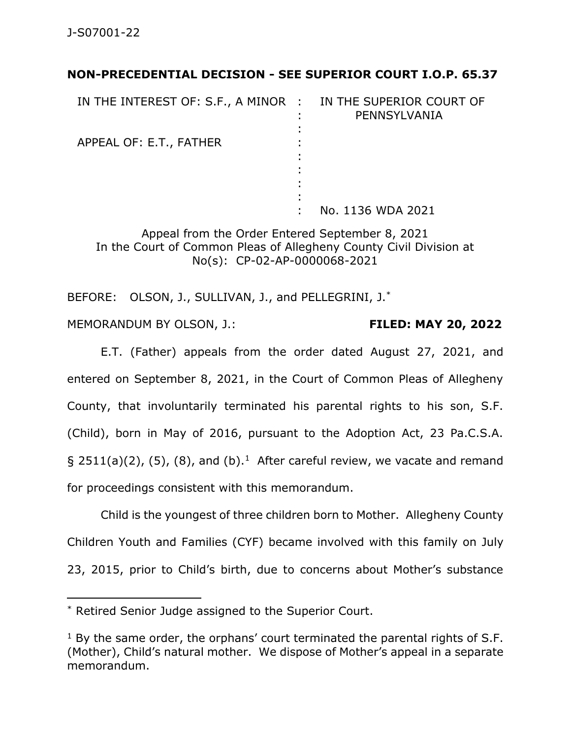## **NON-PRECEDENTIAL DECISION - SEE SUPERIOR COURT I.O.P. 65.37**

| IN THE INTEREST OF: S.F., A MINOR : IN THE SUPERIOR COURT OF | PENNSYLVANIA      |
|--------------------------------------------------------------|-------------------|
|                                                              |                   |
| APPEAL OF: E.T., FATHER                                      |                   |
|                                                              |                   |
|                                                              |                   |
|                                                              |                   |
|                                                              |                   |
|                                                              | No. 1136 WDA 2021 |

Appeal from the Order Entered September 8, 2021 In the Court of Common Pleas of Allegheny County Civil Division at No(s): CP-02-AP-0000068-2021

BEFORE: OLSON, J., SULLIVAN, J., and PELLEGRINI, J.\*

MEMORANDUM BY OLSON, J.: **FILED: MAY 20, 2022**

E.T. (Father) appeals from the order dated August 27, 2021, and entered on September 8, 2021, in the Court of Common Pleas of Allegheny County, that involuntarily terminated his parental rights to his son, S.F. (Child), born in May of 2016, pursuant to the Adoption Act, 23 Pa.C.S.A. § 2511(a)(2), (5), (8), and (b).<sup>1</sup> After careful review, we vacate and remand for proceedings consistent with this memorandum.

Child is the youngest of three children born to Mother. Allegheny County Children Youth and Families (CYF) became involved with this family on July 23, 2015, prior to Child's birth, due to concerns about Mother's substance

<sup>\*</sup> Retired Senior Judge assigned to the Superior Court.

 $1$  By the same order, the orphans' court terminated the parental rights of S.F. (Mother), Child's natural mother. We dispose of Mother's appeal in a separate memorandum.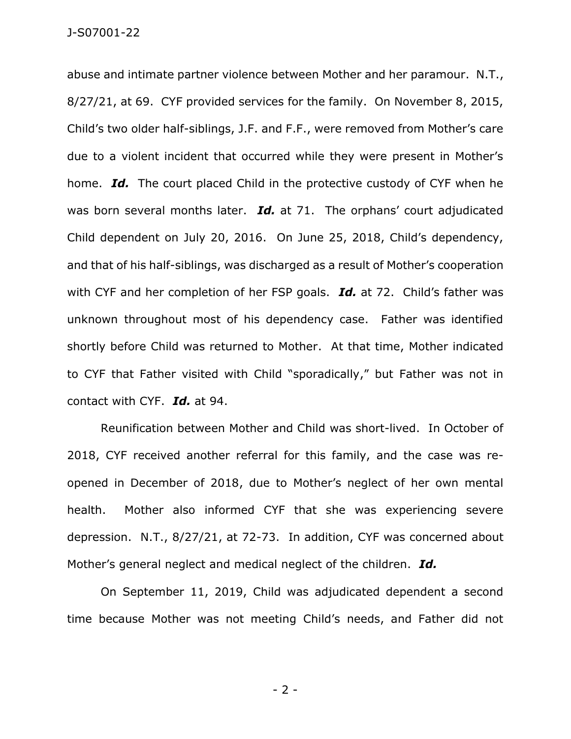abuse and intimate partner violence between Mother and her paramour. N.T., 8/27/21, at 69. CYF provided services for the family. On November 8, 2015, Child's two older half-siblings, J.F. and F.F., were removed from Mother's care due to a violent incident that occurred while they were present in Mother's home. *Id.* The court placed Child in the protective custody of CYF when he was born several months later. *Id.* at 71. The orphans' court adjudicated Child dependent on July 20, 2016. On June 25, 2018, Child's dependency, and that of his half-siblings, was discharged as a result of Mother's cooperation with CYF and her completion of her FSP goals. *Id.* at 72. Child's father was unknown throughout most of his dependency case. Father was identified shortly before Child was returned to Mother. At that time, Mother indicated to CYF that Father visited with Child "sporadically," but Father was not in contact with CYF. *Id.* at 94.

Reunification between Mother and Child was short-lived. In October of 2018, CYF received another referral for this family, and the case was reopened in December of 2018, due to Mother's neglect of her own mental health. Mother also informed CYF that she was experiencing severe depression. N.T., 8/27/21, at 72-73. In addition, CYF was concerned about Mother's general neglect and medical neglect of the children. *Id.*

On September 11, 2019, Child was adjudicated dependent a second time because Mother was not meeting Child's needs, and Father did not

- 2 -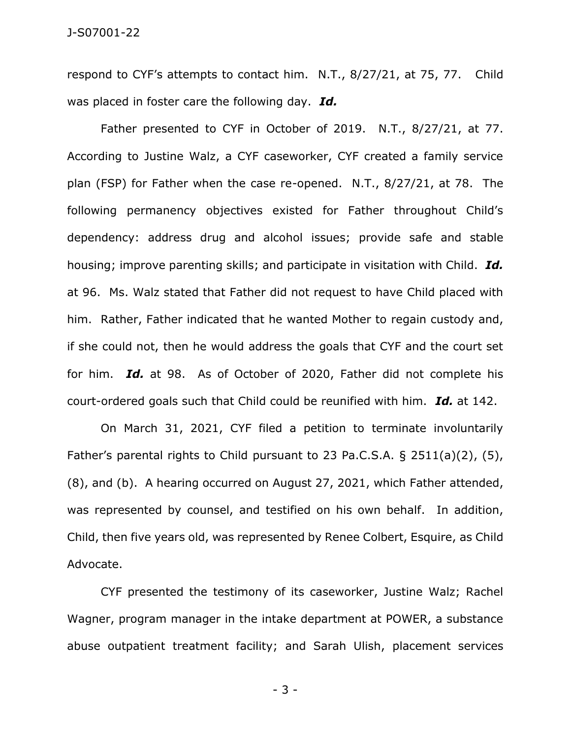respond to CYF's attempts to contact him. N.T., 8/27/21, at 75, 77. Child was placed in foster care the following day. *Id.* 

Father presented to CYF in October of 2019. N.T., 8/27/21, at 77. According to Justine Walz, a CYF caseworker, CYF created a family service plan (FSP) for Father when the case re-opened. N.T., 8/27/21, at 78. The following permanency objectives existed for Father throughout Child's dependency: address drug and alcohol issues; provide safe and stable housing; improve parenting skills; and participate in visitation with Child. *Id.*  at 96. Ms. Walz stated that Father did not request to have Child placed with him. Rather, Father indicated that he wanted Mother to regain custody and, if she could not, then he would address the goals that CYF and the court set for him. *Id.* at 98. As of October of 2020, Father did not complete his court-ordered goals such that Child could be reunified with him. *Id.* at 142.

On March 31, 2021, CYF filed a petition to terminate involuntarily Father's parental rights to Child pursuant to 23 Pa.C.S.A. § 2511(a)(2), (5), (8), and (b). A hearing occurred on August 27, 2021, which Father attended, was represented by counsel, and testified on his own behalf. In addition, Child, then five years old, was represented by Renee Colbert, Esquire, as Child Advocate.

CYF presented the testimony of its caseworker, Justine Walz; Rachel Wagner, program manager in the intake department at POWER, a substance abuse outpatient treatment facility; and Sarah Ulish, placement services

- 3 -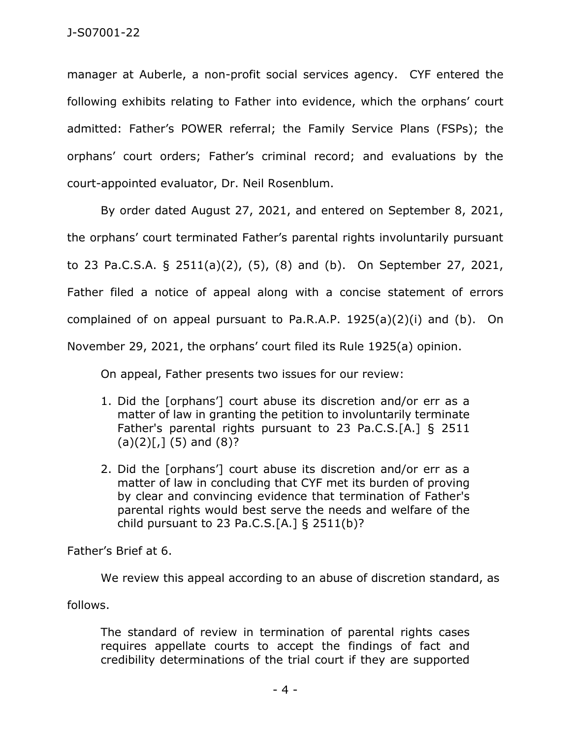manager at Auberle, a non-profit social services agency. CYF entered the following exhibits relating to Father into evidence, which the orphans' court admitted: Father's POWER referral; the Family Service Plans (FSPs); the orphans' court orders; Father's criminal record; and evaluations by the court-appointed evaluator, Dr. Neil Rosenblum.

By order dated August 27, 2021, and entered on September 8, 2021, the orphans' court terminated Father's parental rights involuntarily pursuant to 23 Pa.C.S.A. § 2511(a)(2), (5), (8) and (b). On September 27, 2021, Father filed a notice of appeal along with a concise statement of errors complained of on appeal pursuant to Pa.R.A.P. 1925(a)(2)(i) and (b). On November 29, 2021, the orphans' court filed its Rule 1925(a) opinion.

On appeal, Father presents two issues for our review:

- 1. Did the [orphans'] court abuse its discretion and/or err as a matter of law in granting the petition to involuntarily terminate Father's parental rights pursuant to 23 Pa.C.S.[A.] § 2511  $(a)(2)[7]$  (5) and  $(8)?$
- 2. Did the [orphans'] court abuse its discretion and/or err as a matter of law in concluding that CYF met its burden of proving by clear and convincing evidence that termination of Father's parental rights would best serve the needs and welfare of the child pursuant to 23 Pa.C.S. $[A.]\$ § 2511(b)?

Father's Brief at 6.

We review this appeal according to an abuse of discretion standard, as

follows.

The standard of review in termination of parental rights cases requires appellate courts to accept the findings of fact and credibility determinations of the trial court if they are supported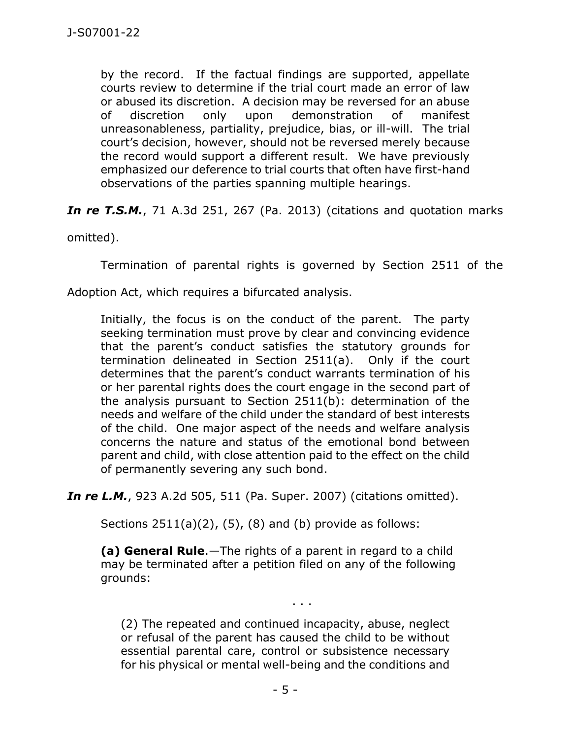by the record. If the factual findings are supported, appellate courts review to determine if the trial court made an error of law or abused its discretion. A decision may be reversed for an abuse of discretion only upon demonstration of manifest unreasonableness, partiality, prejudice, bias, or ill-will. The trial court's decision, however, should not be reversed merely because the record would support a different result. We have previously emphasized our deference to trial courts that often have first-hand observations of the parties spanning multiple hearings.

**In re T.S.M.**, 71 A.3d 251, 267 (Pa. 2013) (citations and quotation marks

omitted).

Termination of parental rights is governed by Section 2511 of the

Adoption Act, which requires a bifurcated analysis.

Initially, the focus is on the conduct of the parent. The party seeking termination must prove by clear and convincing evidence that the parent's conduct satisfies the statutory grounds for termination delineated in Section 2511(a). Only if the court determines that the parent's conduct warrants termination of his or her parental rights does the court engage in the second part of the analysis pursuant to Section 2511(b): determination of the needs and welfare of the child under the standard of best interests of the child. One major aspect of the needs and welfare analysis concerns the nature and status of the emotional bond between parent and child, with close attention paid to the effect on the child of permanently severing any such bond.

*In re L.M.*, 923 A.2d 505, 511 (Pa. Super. 2007) (citations omitted).

Sections  $2511(a)(2)$ ,  $(5)$ ,  $(8)$  and  $(b)$  provide as follows:

**(a) General Rule**.—The rights of a parent in regard to a child may be terminated after a petition filed on any of the following grounds:

(2) The repeated and continued incapacity, abuse, neglect or refusal of the parent has caused the child to be without essential parental care, control or subsistence necessary for his physical or mental well-being and the conditions and

. . .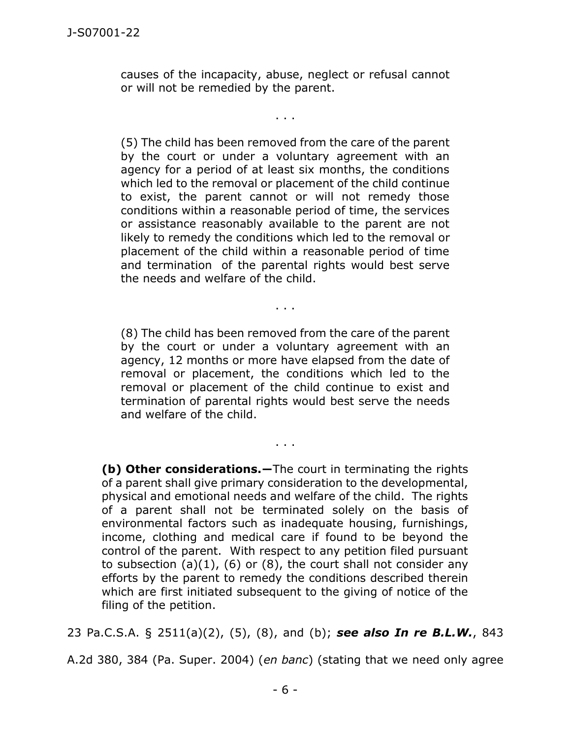causes of the incapacity, abuse, neglect or refusal cannot or will not be remedied by the parent.

. . .

(5) The child has been removed from the care of the parent by the court or under a voluntary agreement with an agency for a period of at least six months, the conditions which led to the removal or placement of the child continue to exist, the parent cannot or will not remedy those conditions within a reasonable period of time, the services or assistance reasonably available to the parent are not likely to remedy the conditions which led to the removal or placement of the child within a reasonable period of time and termination of the parental rights would best serve the needs and welfare of the child.

(8) The child has been removed from the care of the parent by the court or under a voluntary agreement with an agency, 12 months or more have elapsed from the date of removal or placement, the conditions which led to the removal or placement of the child continue to exist and termination of parental rights would best serve the needs and welfare of the child.

. . .

. . .

**(b) Other considerations.―**The court in terminating the rights of a parent shall give primary consideration to the developmental, physical and emotional needs and welfare of the child. The rights of a parent shall not be terminated solely on the basis of environmental factors such as inadequate housing, furnishings, income, clothing and medical care if found to be beyond the control of the parent. With respect to any petition filed pursuant to subsection  $(a)(1)$ ,  $(b)$  or  $(8)$ , the court shall not consider any efforts by the parent to remedy the conditions described therein which are first initiated subsequent to the giving of notice of the filing of the petition.

23 Pa.C.S.A. § 2511(a)(2), (5), (8), and (b); *see also In re B.L.W.*, 843

A.2d 380, 384 (Pa. Super. 2004) (*en banc*) (stating that we need only agree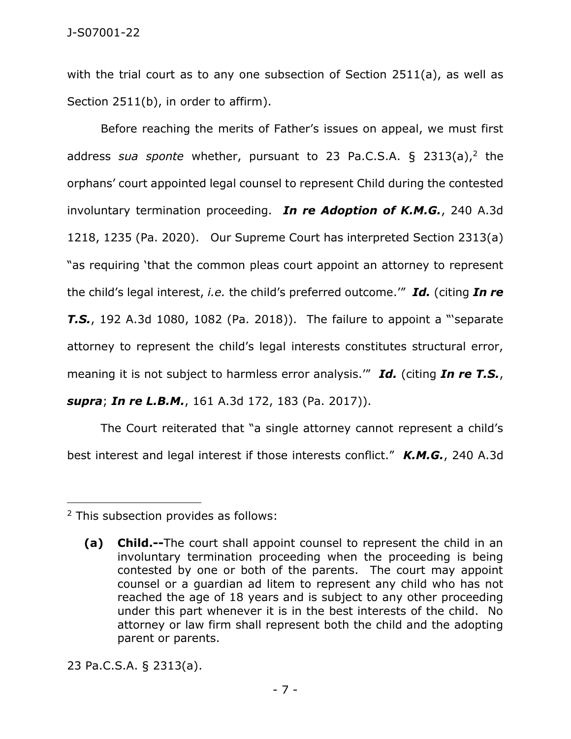with the trial court as to any one subsection of Section 2511(a), as well as Section 2511(b), in order to affirm).

Before reaching the merits of Father's issues on appeal, we must first address *sua sponte* whether, pursuant to 23 [Pa.C.S.A.](https://1.next.westlaw.com/Link/Document/FullText?findType=L&pubNum=1000262&cite=PA23S2313&originatingDoc=I57679050891b11ecb8c3e5aec2742444&refType=SP&originationContext=document&transitionType=DocumentItem&ppcid=c2197ef7168048a79f4c1e0dbb3dbe83&contextData=(sc.Search)#co_pp_8b3b0000958a4) § 2313(a), 2 the orphans' court appointed legal counsel to represent Child during the contested involuntary termination proceeding. *In re Adoption of K.M.G.*, 240 A.3d 1218, 1235 (Pa. 2020). Our Supreme Court has interpreted Section 2313(a) "as requiring 'that the common pleas court appoint an attorney to represent the child's legal interest, *i.e.* the child's preferred outcome.'" *Id.* (citing *In re T.S.*, 192 A.3d 1080, 1082 (Pa. 2018)). The failure to appoint a "'separate attorney to represent the child's legal interests constitutes structural error, meaning it is not subject to harmless error analysis.'" *Id.* (citing *In re T.S.*,

*supra*; *In re L.B.M.*, 161 A.3d 172, 183 (Pa. 2017)).

The Court reiterated that "a single attorney cannot represent a child's best interest and legal interest if those interests conflict." *K.M.G.*, 240 A.3d

23 [Pa.C.S.A.](https://1.next.westlaw.com/Link/Document/FullText?findType=L&pubNum=1000262&cite=PA23S2313&originatingDoc=I57679050891b11ecb8c3e5aec2742444&refType=SP&originationContext=document&transitionType=DocumentItem&ppcid=c2197ef7168048a79f4c1e0dbb3dbe83&contextData=(sc.Search)#co_pp_8b3b0000958a4) § 2313(a).

<sup>2</sup> This subsection provides as follows:

**<sup>(</sup>a) Child.--**The court shall appoint counsel to represent the child in an involuntary termination proceeding when the proceeding is being contested by one or both of the parents. The court may appoint counsel or a guardian ad litem to represent any child who has not reached the age of 18 years and is subject to any other proceeding under this part whenever it is in the best interests of the child. No attorney or law firm shall represent both the child and the adopting parent or parents.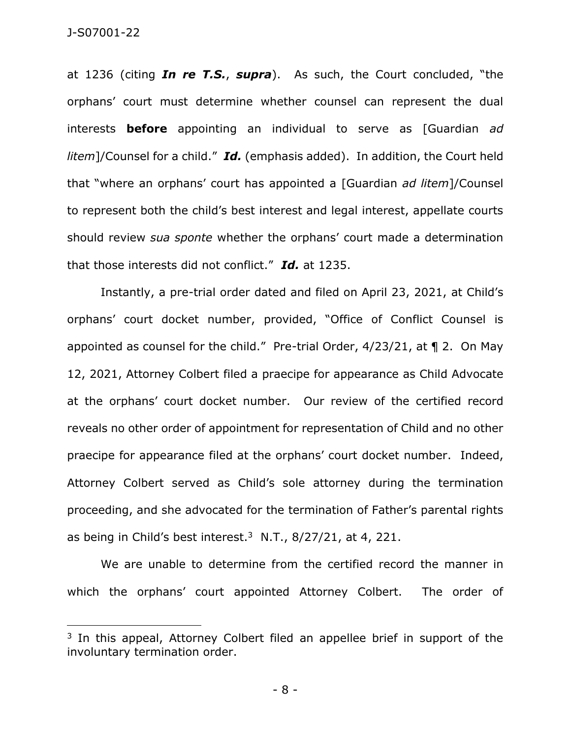at 1236 (citing *In re T.S.*, *supra*). As such, the Court concluded, "the orphans' court must determine whether counsel can represent the dual interests **before** appointing an individual to serve as [Guardian *ad litem*]/Counsel for a child." *Id.* (emphasis added). In addition, the Court held that "where an orphans' court has appointed a [Guardian *ad litem*]/Counsel to represent both the child's best interest and legal interest, appellate courts should review *sua sponte* whether the orphans' court made a determination that those interests did not conflict." *Id.* at 1235.

Instantly, a pre-trial order dated and filed on April 23, 2021, at Child's orphans' court docket number, provided, "Office of Conflict Counsel is appointed as counsel for the child." Pre-trial Order, 4/23/21, at ¶ 2. On May 12, 2021, Attorney Colbert filed a praecipe for appearance as Child Advocate at the orphans' court docket number. Our review of the certified record reveals no other order of appointment for representation of Child and no other praecipe for appearance filed at the orphans' court docket number. Indeed, Attorney Colbert served as Child's sole attorney during the termination proceeding, and she advocated for the termination of Father's parental rights as being in Child's best interest. $3 \text{ N.T.}$ , 8/27/21, at 4, 221.

We are unable to determine from the certified record the manner in which the orphans' court appointed Attorney Colbert. The order of

<sup>&</sup>lt;sup>3</sup> In this appeal, Attorney Colbert filed an appellee brief in support of the involuntary termination order.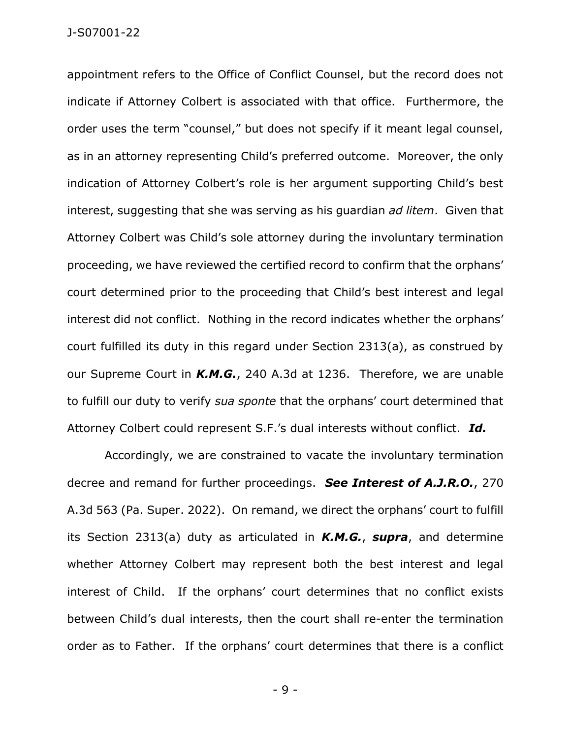appointment refers to the Office of Conflict Counsel, but the record does not indicate if Attorney Colbert is associated with that office. Furthermore, the order uses the term "counsel," but does not specify if it meant legal counsel, as in an attorney representing Child's preferred outcome. Moreover, the only indication of Attorney Colbert's role is her argument supporting Child's best interest, suggesting that she was serving as his guardian *ad litem*. Given that Attorney Colbert was Child's sole attorney during the involuntary termination proceeding, we have reviewed the certified record to confirm that the orphans' court determined prior to the proceeding that Child's best interest and legal interest did not conflict. Nothing in the record indicates whether the orphans' court fulfilled its duty in this regard under Section 2313(a), as construed by our Supreme Court in *K.M.G.*, 240 A.3d at 1236. Therefore, we are unable to fulfill our duty to verify *sua sponte* that the orphans' court determined that Attorney Colbert could represent S.F.'s dual interests without conflict. *Id.*

Accordingly, we are constrained to vacate the involuntary termination decree and remand for further proceedings. *See Interest of A.J.R.O.*, 270 A.3d 563 (Pa. Super. 2022). On remand, we direct the orphans' court to fulfill its Section 2313(a) duty as articulated in *K.M.G.*, *supra*, and determine whether Attorney Colbert may represent both the best interest and legal interest of Child. If the orphans' court determines that no conflict exists between Child's dual interests, then the court shall re-enter the termination order as to Father. If the orphans' court determines that there is a conflict

- 9 -